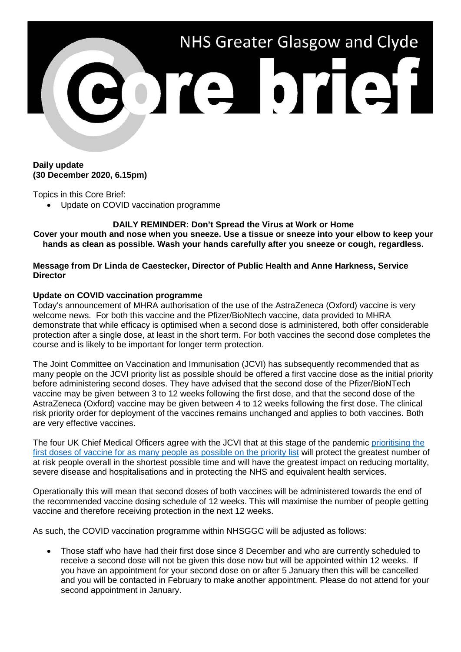

## **Daily update (30 December 2020, 6.15pm)**

Topics in this Core Brief:

• Update on COVID vaccination programme

**DAILY REMINDER: Don't Spread the Virus at Work or Home Cover your mouth and nose when you sneeze. Use a tissue or sneeze into your elbow to keep your hands as clean as possible. Wash your hands carefully after you sneeze or cough, regardless.**

**Message from Dr Linda de Caestecker, Director of Public Health and Anne Harkness, Service Director**

## **Update on COVID vaccination programme**

Today's announcement of MHRA authorisation of the use of the AstraZeneca (Oxford) vaccine is very welcome news. For both this vaccine and the Pfizer/BioNtech vaccine, data provided to MHRA demonstrate that while efficacy is optimised when a second dose is administered, both offer considerable protection after a single dose, at least in the short term. For both vaccines the second dose completes the course and is likely to be important for longer term protection.

The Joint Committee on Vaccination and Immunisation (JCVI) has subsequently recommended that as many people on the JCVI priority list as possible should be offered a first vaccine dose as the initial priority before administering second doses. They have advised that the second dose of the Pfizer/BioNTech vaccine may be given between 3 to 12 weeks following the first dose, and that the second dose of the AstraZeneca (Oxford) vaccine may be given between 4 to 12 weeks following the first dose. The clinical risk priority order for deployment of the vaccines remains unchanged and applies to both vaccines. Both are very effective vaccines.

The four UK Chief Medical Officers agree with the JCVI that at this stage of the pandemic [prioritising the](https://www.gov.uk/government/publications/priority-groups-for-coronavirus-covid-19-vaccination-advice-from-the-jcvi-30-december-2020)  [first doses of vaccine for as many people as possible on the priority list](https://www.gov.uk/government/publications/priority-groups-for-coronavirus-covid-19-vaccination-advice-from-the-jcvi-30-december-2020) will protect the greatest number of at risk people overall in the shortest possible time and will have the greatest impact on reducing mortality, severe disease and hospitalisations and in protecting the NHS and equivalent health services.

Operationally this will mean that second doses of both vaccines will be administered towards the end of the recommended vaccine dosing schedule of 12 weeks. This will maximise the number of people getting vaccine and therefore receiving protection in the next 12 weeks.

As such, the COVID vaccination programme within NHSGGC will be adjusted as follows:

• Those staff who have had their first dose since 8 December and who are currently scheduled to receive a second dose will not be given this dose now but will be appointed within 12 weeks. If you have an appointment for your second dose on or after 5 January then this will be cancelled and you will be contacted in February to make another appointment. Please do not attend for your second appointment in January.